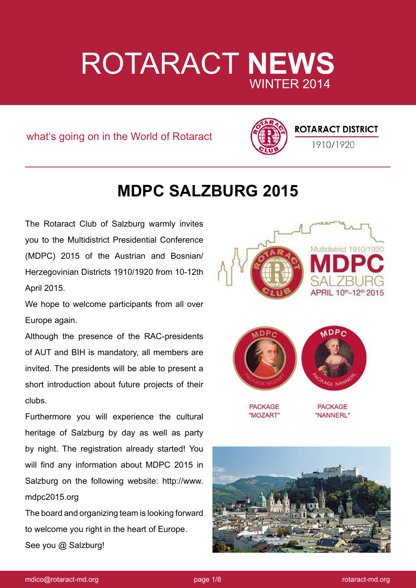# ROTARACT **NEWS** WINTER 2014

what's going on in the World of Rotaract



### **ROTARACT DISTRICT**

1910/1920

## **MDPC SALZBURG 2015**

The Rotaract Club of Salzburg warmly invites you to the Multidistrict Presidential Conference (MDPC) 2015 of the Austrian and Bosnian/ Herzegovinian Districts 1910/1920 from 10-12th April 2015.

We hope to welcome participants from all over Europe again.

Although the presence of the RAC-presidents of AUT and BIH is mandatory, all members are invited. The presidents will be able to present a short introduction about future projects of their clubs.

Furthermore you will experience the cultural heritage of Salzburg by day as well as party by night. The registration already started! You will find any information about MDPC 2015 in Salzburg on the following website: http://www. mdpc2015.org

The board and organizing team is looking forward to welcome you right in the heart of Europe. See you @ Salzburg!



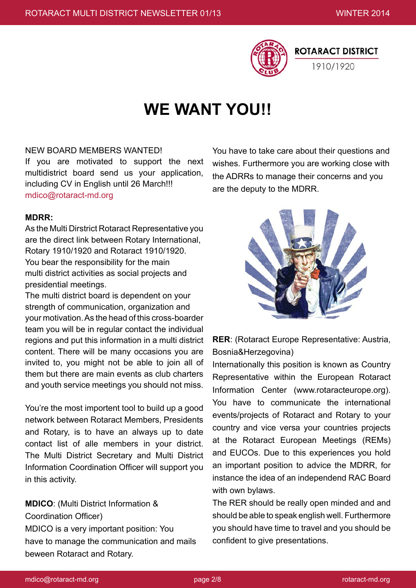

## **WE WANT YOU!!**

### NEW BOARD MEMBERS WANTED!

If you are motivated to support the next multidistrict board send us your application, including CV in English until 26 March!!! mdico@rotaract-md.org

#### **MDRR:**

As the Multi Dirstrict Rotaract Representative you are the direct link between Rotary International, Rotary 1910/1920 and Rotaract 1910/1920. You bear the responsibility for the main multi district activities as social projects and presidential meetings.

The multi district board is dependent on your strength of communication, organization and your motivation. As the head of this cross-boarder team you will be in regular contact the individual regions and put this information in a multi district content. There will be many occasions you are invited to, you might not be able to join all of them but there are main events as club charters and youth service meetings you should not miss.

You're the most importent tool to build up a good network between Rotaract Members, Presidents and Rotary, is to have an always up to date contact list of alle members in your district. The Multi District Secretary and Multi District Information Coordination Officer will support you in this activity.

**MDICO**: (Multi District Information & Coordination Officer) MDICO is a very important position: You have to manage the communication and mails beween Rotaract and Rotary.

You have to take care about their questions and wishes. Furthermore you are working close with the ADRRs to manage their concerns and you are the deputy to the MDRR.



**RER**: (Rotaract Europe Representative: Austria, Bosnia&Herzegovina)

Internationally this position is known as Country Representative within the European Rotaract Information Center (www.rotaracteurope.org). You have to communicate the international events/projects of Rotaract and Rotary to your country and vice versa your countries projects at the Rotaract European Meetings (REMs) and EUCOs. Due to this experiences you hold an important position to advice the MDRR, for instance the idea of an independend RAC Board with own bylaws.

The RER should be really open minded and and should be able to speak english well. Furthermore you should have time to travel and you should be confident to give presentations.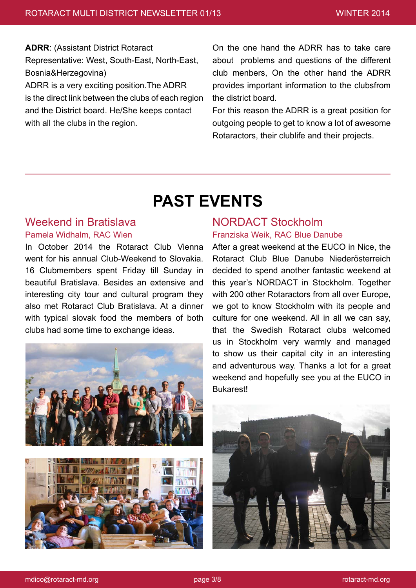**ADRR**: (Assistant District Rotaract Representative: West, South-East, North-East, Bosnia&Herzegovina) ADRR is a very exciting position.The ADRR is the direct link between the clubs of each region and the District board. He/She keeps contact with all the clubs in the region.

On the one hand the ADRR has to take care about problems and questions of the different club menbers, On the other hand the ADRR provides important information to the clubsfrom the district board.

For this reason the ADRR is a great position for outgoing people to get to know a lot of awesome Rotaractors, their clublife and their projects.

## **PAST EVENTS**

### Weekend in Bratislava Pamela Widhalm, RAC Wien

In October 2014 the Rotaract Club Vienna went for his annual Club-Weekend to Slovakia. 16 Clubmembers spent Friday till Sunday in beautiful Bratislava. Besides an extensive and interesting city tour and cultural program they also met Rotaract Club Bratislava. At a dinner with typical slovak food the members of both clubs had some time to exchange ideas.



### NORDACT Stockholm Franziska Weik, RAC Blue Danube

After a great weekend at the EUCO in Nice, the Rotaract Club Blue Danube Niederösterreich decided to spend another fantastic weekend at this year's NORDACT in Stockholm. Together with 200 other Rotaractors from all over Europe, we got to know Stockholm with its people and culture for one weekend. All in all we can say, that the Swedish Rotaract clubs welcomed us in Stockholm very warmly and managed to show us their capital city in an interesting and adventurous way. Thanks a lot for a great weekend and hopefully see you at the EUCO in **Bukarest!** 

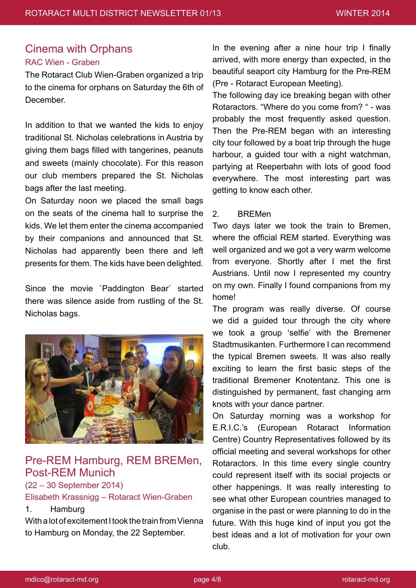### Cinema with Orphans

### RAC Wien - Graben

The Rotaract Club Wien-Graben organized a trip to the cinema for orphans on Saturday the 6th of December.

In addition to that we wanted the kids to enjoy traditional St. Nicholas celebrations in Austria by giving them bags filled with tangerines, peanuts and sweets (mainly chocolate). For this reason our club members prepared the St. Nicholas bags after the last meeting.

On Saturday noon we placed the small bags on the seats of the cinema hall to surprise the kids. We let them enter the cinema accompanied by their companions and announced that St. Nicholas had apparently been there and left presents for them. The kids have been delighted.

Since the movie `Paddington Bear` started there was silence aside from rustling of the St. Nicholas bags.



### Pre-REM Hamburg, REM BREMen, Post-REM Munich

(22 – 30 September 2014)

### Elisabeth Krassnigg – Rotaract Wien-Graben

### 1. Hamburg

With a lot of excitement I took the train from Vienna to Hamburg on Monday, the 22 September.

In the evening after a nine hour trip I finally arrived, with more energy than expected, in the beautiful seaport city Hamburg for the Pre-REM (Pre - Rotaract European Meeting).

The following day ice breaking began with other Rotaractors. "Where do you come from? " - was probably the most frequently asked question. Then the Pre-REM began with an interesting city tour followed by a boat trip through the huge harbour, a guided tour with a night watchman, partying at Reeperbahn with lots of good food everywhere. The most interesting part was getting to know each other.

### 2. BREMen

Two days later we took the train to Bremen, where the official REM started. Everything was well organized and we got a very warm welcome from everyone. Shortly after I met the first Austrians. Until now I represented my country on my own. Finally I found companions from my home!

The program was really diverse. Of course we did a guided tour through the city where we took a group 'selfie' with the Bremener Stadtmusikanten. Furthermore I can recommend the typical Bremen sweets. It was also really exciting to learn the first basic steps of the traditional Bremener Knotentanz. This one is distinguished by permanent, fast changing arm knots with your dance partner.

On Saturday morning was a workshop for E.R.I.C.'s (European Rotaract Information Centre) Country Representatives followed by its official meeting and several workshops for other Rotaractors. In this time every single country could represent itself with its social projects or other happenings. It was really interesting to see what other European countries managed to organise in the past or were planning to do in the future. With this huge kind of input you got the best ideas and a lot of motivation for your own club.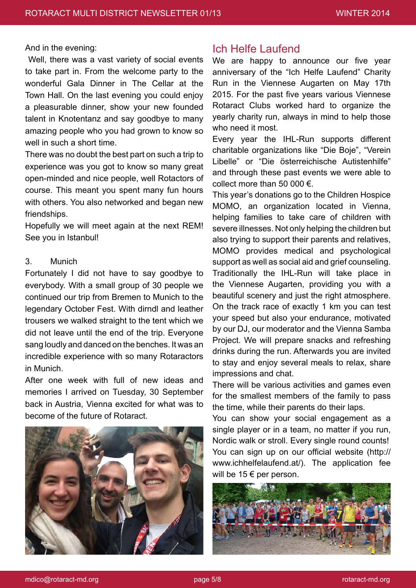#### And in the evening:

 Well, there was a vast variety of social events to take part in. From the welcome party to the wonderful Gala Dinner in The Cellar at the Town Hall. On the last evening you could enjoy a pleasurable dinner, show your new founded talent in Knotentanz and say goodbye to many amazing people who you had grown to know so well in such a short time.

There was no doubt the best part on such a trip to experience was you got to know so many great open-minded and nice people, well Rotactors of course. This meant you spent many fun hours with others. You also networked and began new friendships.

Hopefully we will meet again at the next REM! See you in Istanbul!

### 3. Munich

Fortunately I did not have to say goodbye to everybody. With a small group of 30 people we continued our trip from Bremen to Munich to the legendary October Fest. With dirndl and leather trousers we walked straight to the tent which we did not leave until the end of the trip. Everyone sang loudly and danced on the benches. It was an incredible experience with so many Rotaractors in Munich.

After one week with full of new ideas and memories I arrived on Tuesday, 30 September back in Austria, Vienna excited for what was to become of the future of Rotaract.



### Ich Helfe Laufend

We are happy to announce our five year anniversary of the "Ich Helfe Laufend" Charity Run in the Viennese Augarten on May 17th 2015. For the past five years various Viennese Rotaract Clubs worked hard to organize the yearly charity run, always in mind to help those who need it most.

Every year the IHL-Run supports different charitable organizations like "Die Boje", "Verein Libelle" or "Die österreichische Autistenhilfe" and through these past events we were able to collect more than 50 000 €.

This year's donations go to the Children Hospice MOMO, an organization located in Vienna, helping families to take care of children with severe illnesses. Not only helping the children but also trying to support their parents and relatives, MOMO provides medical and psychological support as well as social aid and grief counseling. Traditionally the IHL-Run will take place in the Viennese Augarten, providing you with a beautiful scenery and just the right atmosphere. On the track race of exactly 1 km you can test your speed but also your endurance, motivated by our DJ, our moderator and the Vienna Samba Project. We will prepare snacks and refreshing drinks during the run. Afterwards you are invited to stay and enjoy several meals to relax, share impressions and chat.

There will be various activities and games even for the smallest members of the family to pass the time, while their parents do their laps.

You can show your social engagement as a single player or in a team, no matter if you run, Nordic walk or stroll. Every single round counts! You can sign up on our official website (http:// www.ichhelfelaufend.at/). The application fee will be  $15 \in$  per person.

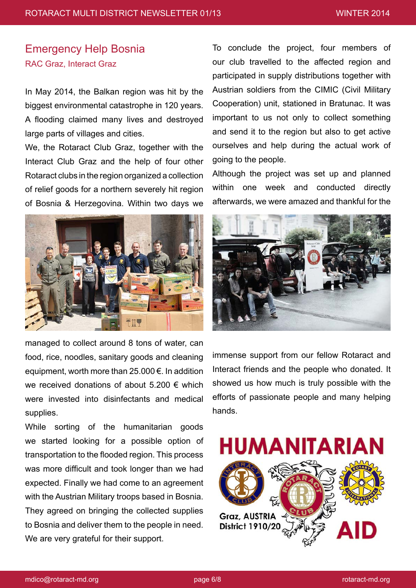### Emergency Help Bosnia RAC Graz, Interact Graz

In May 2014, the Balkan region was hit by the biggest environmental catastrophe in 120 years. A flooding claimed many lives and destroyed large parts of villages and cities.

We, the Rotaract Club Graz, together with the Interact Club Graz and the help of four other Rotaract clubs in the region organized a collection of relief goods for a northern severely hit region of Bosnia & Herzegovina. Within two days we



managed to collect around 8 tons of water, can food, rice, noodles, sanitary goods and cleaning equipment, worth more than  $25.000 \in$ . In addition we received donations of about 5.200 € which were invested into disinfectants and medical supplies.

While sorting of the humanitarian goods we started looking for a possible option of transportation to the flooded region. This process was more difficult and took longer than we had expected. Finally we had come to an agreement with the Austrian Military troops based in Bosnia. They agreed on bringing the collected supplies to Bosnia and deliver them to the people in need. We are very grateful for their support.

To conclude the project, four members of our club travelled to the affected region and participated in supply distributions together with Austrian soldiers from the CIMIC (Civil Military Cooperation) unit, stationed in Bratunac. It was important to us not only to collect something and send it to the region but also to get active ourselves and help during the actual work of going to the people.

Although the project was set up and planned within one week and conducted directly afterwards, we were amazed and thankful for the



immense support from our fellow Rotaract and Interact friends and the people who donated. It showed us how much is truly possible with the efforts of passionate people and many helping hands.

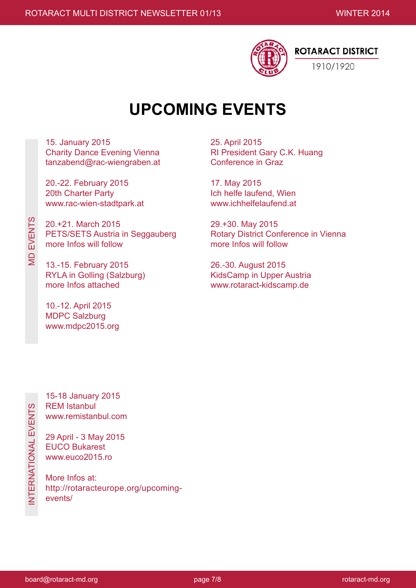

## **UPCOMING EVENTS**

15. January 2015 Charity Dance Evening Vienna tanzabend@rac-wiengraben.at

20.-22. February 2015 20th Charter Party www.rac-wien-stadtpark.at

20.+21. March 2015 PETS/SETS Austria in Seggauberg more Infos will follow

13.-15. February 2015 RYLA in Golling (Salzburg) more Infos attached

10.-12. April 2015 MDPC Salzburg www.mdpc2015.org 25. April 2015 RI President Gary C.K. Huang Conference in Graz

17. May 2015 Ich helfe laufend, Wien www.ichhelfelaufend.at

29.+30. May 2015 Rotary District Conference in Vienna more Infos will follow

26.-30. August 2015 KidsCamp in Upper Austria www.rotaract-kidscamp.de

MD EVENTS

**MD EVENTS** 

15-18 January 2015 REM Istanbul www.remistanbul.com

29 April - 3 May 2015 EUCO Bukarest www.euco2015.ro

More Infos at: http://rotaracteurope.org/upcomingevents/